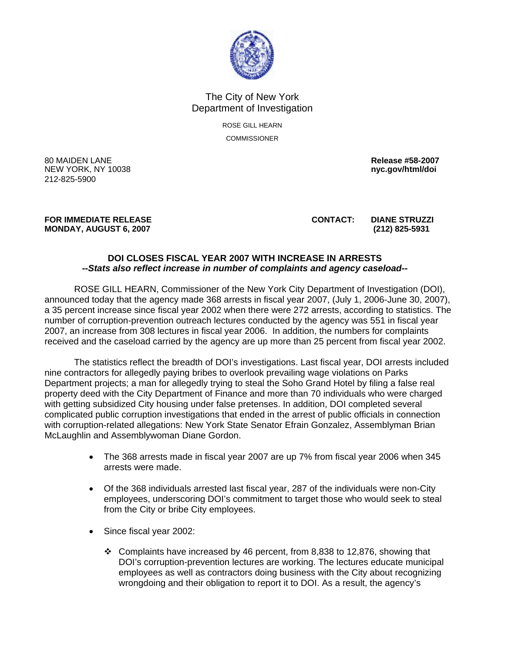

## The City of New York Department of Investigation

ROSE GILL HEARN **COMMISSIONER** 

80 MAIDEN LANE **Release #58-2007**  NEW YORK, NY 10038 **nyc.gov/html/doi**  212-825-5900

## **FOR IMMEDIATE RELEASE CONTACT: DIANE STRUZZI MONDAY, AUGUST 6, 2007 (212) 825-5931**

## **DOI CLOSES FISCAL YEAR 2007 WITH INCREASE IN ARRESTS**  *--Stats also reflect increase in number of complaints and agency caseload--*

 ROSE GILL HEARN, Commissioner of the New York City Department of Investigation (DOI), announced today that the agency made 368 arrests in fiscal year 2007, (July 1, 2006-June 30, 2007), a 35 percent increase since fiscal year 2002 when there were 272 arrests, according to statistics. The number of corruption-prevention outreach lectures conducted by the agency was 551 in fiscal year 2007, an increase from 308 lectures in fiscal year 2006. In addition, the numbers for complaints received and the caseload carried by the agency are up more than 25 percent from fiscal year 2002.

 The statistics reflect the breadth of DOI's investigations. Last fiscal year, DOI arrests included nine contractors for allegedly paying bribes to overlook prevailing wage violations on Parks Department projects; a man for allegedly trying to steal the Soho Grand Hotel by filing a false real property deed with the City Department of Finance and more than 70 individuals who were charged with getting subsidized City housing under false pretenses. In addition, DOI completed several complicated public corruption investigations that ended in the arrest of public officials in connection with corruption-related allegations: New York State Senator Efrain Gonzalez, Assemblyman Brian McLaughlin and Assemblywoman Diane Gordon.

- The 368 arrests made in fiscal year 2007 are up 7% from fiscal year 2006 when 345 arrests were made.
- Of the 368 individuals arrested last fiscal year, 287 of the individuals were non-City employees, underscoring DOI's commitment to target those who would seek to steal from the City or bribe City employees.
- Since fiscal year 2002:
	- Complaints have increased by 46 percent, from 8,838 to 12,876, showing that DOI's corruption-prevention lectures are working. The lectures educate municipal employees as well as contractors doing business with the City about recognizing wrongdoing and their obligation to report it to DOI. As a result, the agency's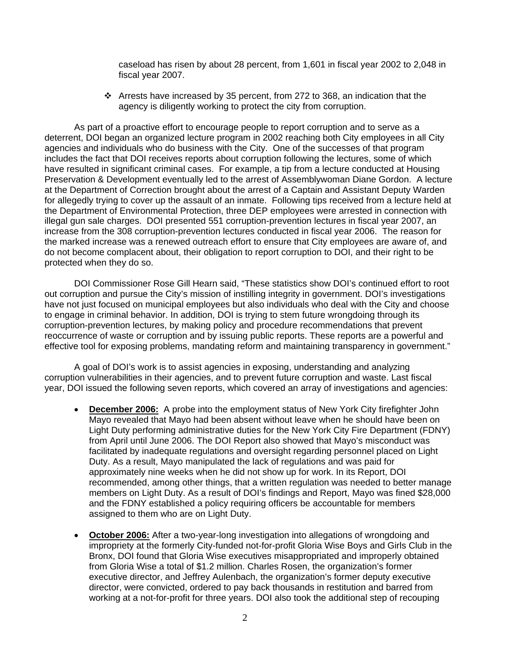caseload has risen by about 28 percent, from 1,601 in fiscal year 2002 to 2,048 in fiscal year 2007.

 $\cdot \cdot$  Arrests have increased by 35 percent, from 272 to 368, an indication that the agency is diligently working to protect the city from corruption.

 As part of a proactive effort to encourage people to report corruption and to serve as a deterrent, DOI began an organized lecture program in 2002 reaching both City employees in all City agencies and individuals who do business with the City. One of the successes of that program includes the fact that DOI receives reports about corruption following the lectures, some of which have resulted in significant criminal cases. For example, a tip from a lecture conducted at Housing Preservation & Development eventually led to the arrest of Assemblywoman Diane Gordon. A lecture at the Department of Correction brought about the arrest of a Captain and Assistant Deputy Warden for allegedly trying to cover up the assault of an inmate. Following tips received from a lecture held at the Department of Environmental Protection, three DEP employees were arrested in connection with illegal gun sale charges. DOI presented 551 corruption-prevention lectures in fiscal year 2007, an increase from the 308 corruption-prevention lectures conducted in fiscal year 2006. The reason for the marked increase was a renewed outreach effort to ensure that City employees are aware of, and do not become complacent about, their obligation to report corruption to DOI, and their right to be protected when they do so.

 DOI Commissioner Rose Gill Hearn said, "These statistics show DOI's continued effort to root out corruption and pursue the City's mission of instilling integrity in government. DOI's investigations have not just focused on municipal employees but also individuals who deal with the City and choose to engage in criminal behavior. In addition, DOI is trying to stem future wrongdoing through its corruption-prevention lectures, by making policy and procedure recommendations that prevent reoccurrence of waste or corruption and by issuing public reports. These reports are a powerful and effective tool for exposing problems, mandating reform and maintaining transparency in government."

 A goal of DOI's work is to assist agencies in exposing, understanding and analyzing corruption vulnerabilities in their agencies, and to prevent future corruption and waste. Last fiscal year, DOI issued the following seven reports, which covered an array of investigations and agencies:

- **December 2006:** A probe into the employment status of New York City firefighter John Mayo revealed that Mayo had been absent without leave when he should have been on Light Duty performing administrative duties for the New York City Fire Department (FDNY) from April until June 2006. The DOI Report also showed that Mayo's misconduct was facilitated by inadequate regulations and oversight regarding personnel placed on Light Duty. As a result, Mayo manipulated the lack of regulations and was paid for approximately nine weeks when he did not show up for work. In its Report, DOI recommended, among other things, that a written regulation was needed to better manage members on Light Duty. As a result of DOI's findings and Report, Mayo was fined \$28,000 and the FDNY established a policy requiring officers be accountable for members assigned to them who are on Light Duty.
- **October 2006:** After a two-year-long investigation into allegations of wrongdoing and impropriety at the formerly City-funded not-for-profit Gloria Wise Boys and Girls Club in the Bronx, DOI found that Gloria Wise executives misappropriated and improperly obtained from Gloria Wise a total of \$1.2 million. Charles Rosen, the organization's former executive director, and Jeffrey Aulenbach, the organization's former deputy executive director, were convicted, ordered to pay back thousands in restitution and barred from working at a not-for-profit for three years. DOI also took the additional step of recouping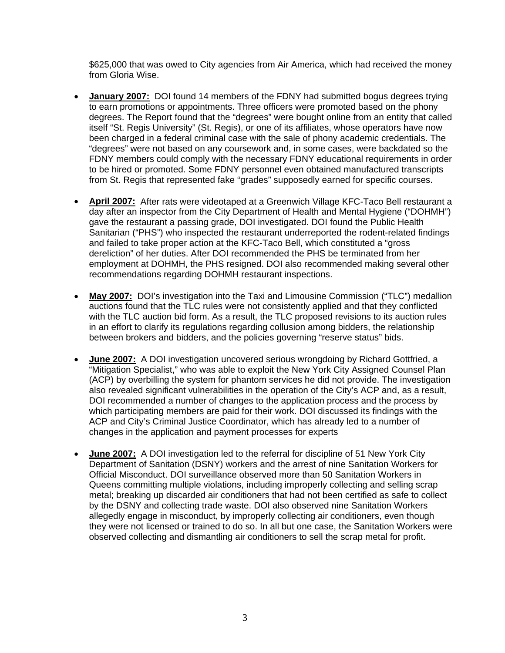\$625,000 that was owed to City agencies from Air America, which had received the money from Gloria Wise.

- **January 2007:** DOI found 14 members of the FDNY had submitted bogus degrees trying to earn promotions or appointments. Three officers were promoted based on the phony degrees. The Report found that the "degrees" were bought online from an entity that called itself "St. Regis University" (St. Regis), or one of its affiliates, whose operators have now been charged in a federal criminal case with the sale of phony academic credentials. The "degrees" were not based on any coursework and, in some cases, were backdated so the FDNY members could comply with the necessary FDNY educational requirements in order to be hired or promoted. Some FDNY personnel even obtained manufactured transcripts from St. Regis that represented fake "grades" supposedly earned for specific courses.
- **April 2007:** After rats were videotaped at a Greenwich Village KFC-Taco Bell restaurant a day after an inspector from the City Department of Health and Mental Hygiene ("DOHMH") gave the restaurant a passing grade, DOI investigated. DOI found the Public Health Sanitarian ("PHS") who inspected the restaurant underreported the rodent-related findings and failed to take proper action at the KFC-Taco Bell, which constituted a "gross dereliction" of her duties. After DOI recommended the PHS be terminated from her employment at DOHMH, the PHS resigned. DOI also recommended making several other recommendations regarding DOHMH restaurant inspections.
- **May 2007:** DOI's investigation into the Taxi and Limousine Commission ("TLC") medallion auctions found that the TLC rules were not consistently applied and that they conflicted with the TLC auction bid form. As a result, the TLC proposed revisions to its auction rules in an effort to clarify its regulations regarding collusion among bidders, the relationship between brokers and bidders, and the policies governing "reserve status" bids.
- **June 2007:** A DOI investigation uncovered serious wrongdoing by Richard Gottfried, a "Mitigation Specialist," who was able to exploit the New York City Assigned Counsel Plan (ACP) by overbilling the system for phantom services he did not provide. The investigation also revealed significant vulnerabilities in the operation of the City's ACP and, as a result, DOI recommended a number of changes to the application process and the process by which participating members are paid for their work. DOI discussed its findings with the ACP and City's Criminal Justice Coordinator, which has already led to a number of changes in the application and payment processes for experts
- **June 2007:** A DOI investigation led to the referral for discipline of 51 New York City Department of Sanitation (DSNY) workers and the arrest of nine Sanitation Workers for Official Misconduct. DOI surveillance observed more than 50 Sanitation Workers in Queens committing multiple violations, including improperly collecting and selling scrap metal; breaking up discarded air conditioners that had not been certified as safe to collect by the DSNY and collecting trade waste. DOI also observed nine Sanitation Workers allegedly engage in misconduct, by improperly collecting air conditioners, even though they were not licensed or trained to do so. In all but one case, the Sanitation Workers were observed collecting and dismantling air conditioners to sell the scrap metal for profit.